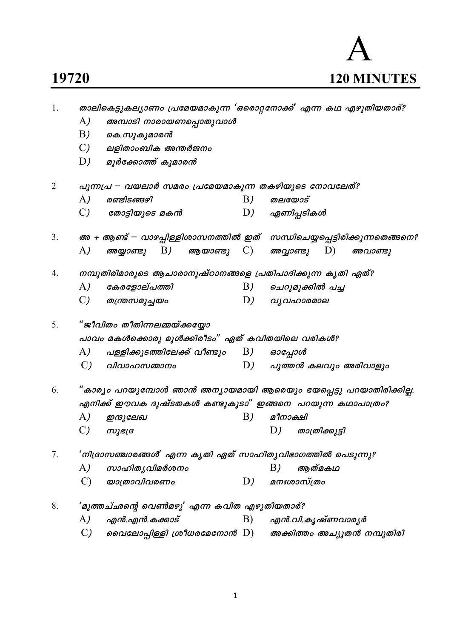## 19720

## 120 MINUTES

| താലികെട്ടുകലൃാണം പ്രമേയമാകുന്ന 'ഒരൊറ്റനോക്ക്' എന്ന കഥ എഴുതിയതാര്?<br>1. |                 |                                                              |    |                                                                                   |  |  |  |  |  |
|-------------------------------------------------------------------------|-----------------|--------------------------------------------------------------|----|-----------------------------------------------------------------------------------|--|--|--|--|--|
|                                                                         | A)              | അമ്പാടി നാരായണപ്പൊതുവാൾ                                      |    |                                                                                   |  |  |  |  |  |
|                                                                         | B)              | കെ.സുകുമാരൻ                                                  |    |                                                                                   |  |  |  |  |  |
|                                                                         | $C$ )           | ലളിതാംബിക അന്തർജനം                                           |    |                                                                                   |  |  |  |  |  |
|                                                                         | D)              | മൂർക്കോത്ത് കുമാരൻ                                           |    |                                                                                   |  |  |  |  |  |
| $\overline{2}$                                                          |                 | പുന്നപ്ര – വയലാർ സമരം പ്രമേയമാകുന്ന തകഴിയുടെ നോവലേത്?        |    |                                                                                   |  |  |  |  |  |
|                                                                         | A)              | രണ്ടിടങ്ങഴി                                                  | B) | തലയോട്                                                                            |  |  |  |  |  |
|                                                                         | $\mathcal{C}$ ) | തോട്ടിയുടെ മകൻ                                               | D) | ഏണിപ്പടികൾ                                                                        |  |  |  |  |  |
| 3.                                                                      |                 |                                                              |    | അ + ആണ്ട് – വാഴപ്പിള്ളിശാസനത്തിൽ ഇത്   സന്ധിചെയ്യപ്പെട്ടിരിക്കുന്നതെങ്ങനെ?        |  |  |  |  |  |
|                                                                         | A)              | B)<br>ആ <i>യാണ്ടു</i> C)<br>അയ്യാണ്ടു                        |    | D)<br>അവ്വാണ്ടു<br>അവാണ്ടു                                                        |  |  |  |  |  |
| 4.                                                                      |                 | നമ്പൂതിരിമാരുടെ ആചാരാനുഷ്ഠാനങ്ങളെ പ്രതിപാദിക്കുന്ന കൃതി ഏത്? |    |                                                                                   |  |  |  |  |  |
|                                                                         | A)              | കേരളോല്പത്തി                                                 | B) | ചെറുമുക്കിൽ പച്ച                                                                  |  |  |  |  |  |
|                                                                         | $\mathcal{C}$ ) | തന്ത്രസമുച്ചയം                                               | D) | വൃവഹാരമാല                                                                         |  |  |  |  |  |
| 5.                                                                      |                 | "ജീവിതം തീതിന്നലമ്മയ്ക്കയ്യോ                                 |    |                                                                                   |  |  |  |  |  |
|                                                                         |                 | പാവം മകൾക്കൊരു മുൾക്കിരീടം" ഏത് കവിതയിലെ വരികൾ?              |    |                                                                                   |  |  |  |  |  |
|                                                                         | A)              | പള്ളിക്കൂടത്തിലേക്ക് വീണ്ടും     B)                          |    | ഓപ്പോൾ                                                                            |  |  |  |  |  |
|                                                                         | $\mathcal{C}$ ) | വിവാഹസമ്മാനം                                                 | D) | പുത്തൻ കലവും അരിവാളും                                                             |  |  |  |  |  |
| 6.                                                                      |                 |                                                              |    | "കാര്യം പറയുമ്പോൾ ഞാൻ അന്യായമായി ആരെയും ഭയപ്പെട്ടു പറയാതിരിക്കില്ല.               |  |  |  |  |  |
|                                                                         |                 | എനിക്ക് ഈവക ദുഷ്ടതകൾ കണ്ടുകൂടാ" ഇങ്ങനെ  പറയുന്ന കഥാപാത്രം?   |    |                                                                                   |  |  |  |  |  |
|                                                                         | A)              | ഇന്ദുലേഖ                                                     | B) | മീനാക്ഷി                                                                          |  |  |  |  |  |
|                                                                         | C)              | സുഭദ്ര                                                       |    | D)<br>താത്രിക്കുട്ടി                                                              |  |  |  |  |  |
| 7.                                                                      |                 | 'നിദ്രാസഞ്ചാരങ്ങൾ' എന്ന കൃതി ഏത് സാഹിതൃവിഭാഗത്തിൽ പെടുന്നു?  |    |                                                                                   |  |  |  |  |  |
|                                                                         | A)              | സാഹിതൃവിമർശനം                                                |    | B)<br>ആത്മകഥ                                                                      |  |  |  |  |  |
|                                                                         | $\mathcal{C}$   | യാത്രാവിവരണം                                                 | D) | മനഃശാസ്ത്രം                                                                       |  |  |  |  |  |
| 8.                                                                      |                 | 'മുത്തച്ഛന്റെ വെൺമഴു' എന്ന കവിത എഴുതിയതാര്?                  |    |                                                                                   |  |  |  |  |  |
|                                                                         | A)              | എൻ.എൻ.കക്കാട്                                                |    | $\ket{\text{B}}$ എൻ.വി.കൃഷ്ണവാരൃർ                                                 |  |  |  |  |  |
|                                                                         | $\mathcal{C}$ ) |                                                              |    | വൈലോപ്പിള്ളി ശ്രീധരമേനോൻ $\hspace{.05cm} \mathrm{D)}$ അക്കിത്തം അച്യുതൻ നമ്പൂതിരി |  |  |  |  |  |
|                                                                         |                 |                                                              |    |                                                                                   |  |  |  |  |  |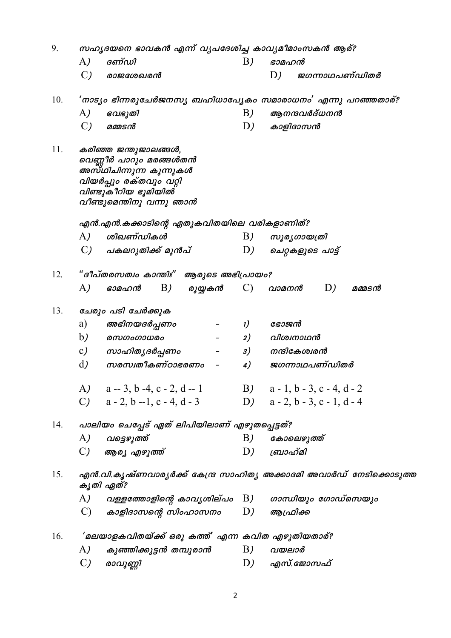9. സഹൃദയനെ ഭാവകൻ എന്ന് വ്യപദേശിച്ച കാവ്യമീമാംസകൻ ആര്?  $\bf{A}$ ദണ്ഡി  $B)$ ഭാമഹൻ  $\mathcal{C}$ )  $D)$ രാജശേഖരൻ ജഗന്നാഥപണ്ഡിതർ 10. 'നാട്യം ഭിന്നരുചേർജനസ്യ ബഹിധാപ്യേകം സമാരാധനം' എന്നു പറഞ്ഞതാര്?  $B)$ അനന്ദവർദ്ധനൻ A) ഭവഭൂതി  $\mathcal{C}$ )  $D)$ മമ്മടൻ കാളിദാസൻ 11. കരിഞ്ഞ ജന്തുജാലങ്ങൾ, വെണ്ണീർ പാറും മരങ്ങൾതൻ അസ്ഥിചിന്നുന്ന കുന്നുകൾ വിയർപ്പും രക്തവും വറ്റി വിണ്ടുകീറിയ ഭൂമിയിൽ വീണ്ടുമെന്തിനു വന്നു ഞാൻ എൻ.എൻ.കക്കാടിന്റെ ഏതുകവിതയിലെ വരികളാണിത്?  $A)$ ശിഖണ്ഡികൾ  $B)$ സൂര്യഗായത്രി പകലറുതിക്ക് മുൻപ്  $\mathcal{C}$ ) D) ചെറ്റകളുടെ പാട്ട് "ദീപ്തരസത്വം കാന്തിഃ"  $12.$ ആരുടെ അഭിപ്രായം?  $A)$  $B)$  $\mathcal{C}$  $D$ ) ഭാമഹൻ രുയ്യകൻ വാമനൻ മമ്മടൻ 13. ചേരും പടി ചേർക്കുക a) അഭിനയദർപ്പണം  $1)$ ഭോജൻ  $b)$ **@** സഗംഗാധരം  $2)$ വിശ്വനാഥൻ  $\overline{a}$ സാഹിതൃദർപ്പണം നന്ദികേശ്വരൻ  $c)$  $\bar{\phantom{a}}$  $3)$  $d)$ സരസ്വതീകണ്ഠാഭരണം ജഗന്നാഥപണ്ഡിതർ  $4)$  $\overline{a}$  $a - 1$ ,  $b - 3$ ,  $c - 4$ ,  $d - 2$ A)  $a-3, b-4, c-2, d-1$ B) C)  $a - 2, b - 1, c - 4, d - 3$  $D$ )  $a - 2$ ,  $b - 3$ ,  $c - 1$ ,  $d - 4$ 14. പാലിയം ചെപ്പേട് ഏത് ലിപിയിലാണ് എഴുതപ്പെട്ടത്?  $B)$  $\bf{A}$ ) വടെഴുത്ത് കോലെഴുത്ത്  $D)$  $\mathcal{C}$ ) ആര്യ എഴുത്ത് ബ്രാഹ്മി എൻ.വി.കൃഷ്ണവാര്യർക്ക് കേന്ദ്ര സാഹിത്യ അക്കാദമി അവാർഡ് നേടിക്കൊടുത്ത 15 കൃതി ഏത്? ഗാന്ധിയും ഗോഡ്സെയും  $\bf{A}$ വള്ളത്തോളിന്റെ കാവൃശില്പം B)  $\mathcal{C}$ കാളിദാസന്റെ സിംഹാസനം D) ആഫ്രിക്ക 'മലയാളകവിതയ്ക്ക് ഒരു കത്ത്' എന്ന കവിത എഴുതിയതാര്?  $16.$  $\bf{A}$ ) കുഞ്ഞിക്കുട്ടൻ തമ്പുരാൻ B) വയലാർ  $\mathcal{C}$ )  $D)$ രാവുണ്ണി എസ്.ജോസഫ്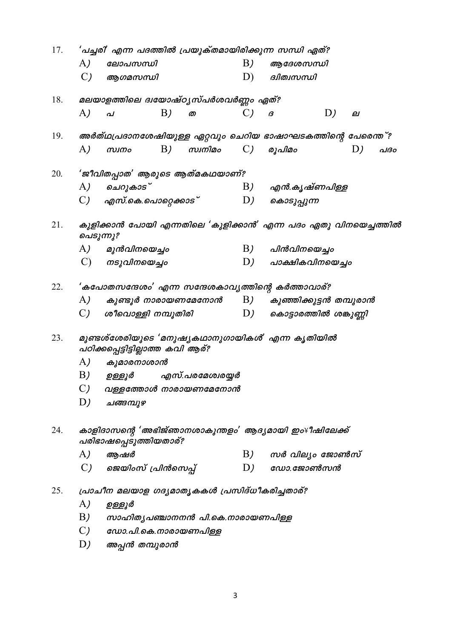| 17. |                 | 'പച്ചരി' എന്ന പദത്തിൽ പ്രയുക്തമായിരിക്കുന്ന സന്ധി ഏത്?                                 |    |                  |                                                                |                         |    |    |     |  |
|-----|-----------------|----------------------------------------------------------------------------------------|----|------------------|----------------------------------------------------------------|-------------------------|----|----|-----|--|
|     | A)              | ലോപസന്ധി                                                                               |    |                  | B)                                                             | ആദേശസന്ധി               |    |    |     |  |
|     | $\mathcal{C}$ ) | ആഗമസന്ധി                                                                               |    |                  | D)                                                             | ദിത്വസന്ധി              |    |    |     |  |
| 18. |                 | മലയാളത്തിലെ ദ്വയോഷ്ഠൃസ്പർശവർണ്ണം ഏത്?                                                  |    |                  |                                                                |                         |    |    |     |  |
|     | A)              | പ                                                                                      | B) | ത                | $\mathcal{C}$ )                                                | $\boldsymbol{\beta}$    | D) | ല  |     |  |
| 19. |                 | അർത്ഥപ്രദാനശേഷിയുള്ള ഏറ്റവും ചെറിയ ഭാഷാഘടകത്തിന്റെ പേരെന്ത് ?                          |    |                  |                                                                |                         |    |    |     |  |
|     | A)              | സ്വനം                                                                                  | B) | സ്വനിമം          | $C$ )                                                          | രൂപിമം                  |    | D) | പദം |  |
| 20. |                 | 'ജീവിതപ്പാത' ആരുടെ ആത്മകഥയാണ്?                                                         |    |                  |                                                                |                         |    |    |     |  |
|     | A)              | ചെറുകാട്                                                                               |    |                  | B)                                                             | എൻ.കൃഷ്ണപിള്ള           |    |    |     |  |
|     |                 | C <i>) എസ്.കെ.പൊറ്റെക്കാട</i> ്                                                        |    |                  | D)                                                             | കൊടുപ്പുന്ന             |    |    |     |  |
| 21. |                 | പെടുന്നു?                                                                              |    |                  | കുളിക്കാൻ പോയി എന്നതിലെ 'കുളിക്കാൻ' എന്ന പദം ഏതു വിനയെച്ചത്തിൽ |                         |    |    |     |  |
|     | A)              | മുൻവിനയെച്ചം                                                                           |    |                  | B)                                                             | പിൻവിനയെച്ചം            |    |    |     |  |
|     | $\mathcal{C}$   | നടുവിനയെച്ചം                                                                           |    |                  | D)                                                             | പാക്ഷികവിനയെച്ചം        |    |    |     |  |
| 22. |                 | 'കപോതസന്ദേശം' എന്ന സന്ദേശകാവൃത്തിന്റെ കർത്താവാര്?                                      |    |                  |                                                                |                         |    |    |     |  |
|     | A)              | കുണ്ടൂർ നാരായണമേനോൻ                                                                    |    |                  | B)                                                             | കുഞ്ഞിക്കുട്ടൻ തമ്പുരാൻ |    |    |     |  |
|     | C)              | ശീവൊള്ളി നമ്പൂതിരി                                                                     |    |                  | D)                                                             | കൊട്ടാരത്തിൽ ശങ്കുണ്ണി  |    |    |     |  |
| 23. |                 | മുണ്ടശ്ശേരിയുടെ 'മനുഷ്യകഥാനുഗായികൾ' എന്ന കൃതിയിൽ<br>പഠിക്കപ്പെട്ടിട്ടില്ലാത്ത കവി ആര്? |    |                  |                                                                |                         |    |    |     |  |
|     | A)              | കുമാരനാശാൻ                                                                             |    |                  |                                                                |                         |    |    |     |  |
|     | B)              | ഉള്ളൂർ                                                                                 |    | എസ്.പരമേശ്വരയ്യർ |                                                                |                         |    |    |     |  |
|     | $\mathcal{C}$   | വള്ളത്തോൾ നാരായണമേനോൻ                                                                  |    |                  |                                                                |                         |    |    |     |  |
|     | D)              | ചങ്ങമ്പുഴ                                                                              |    |                  |                                                                |                         |    |    |     |  |
| 24. |                 | കാളിദാസന്റെ 'അഭിജ്ഞാനശാകുന്തളം' ആദ്യമായി ഇം¥ീഷിലേക്ക്<br>പരിഭാഷപ്പെടുത്തിയതാര്?        |    |                  |                                                                |                         |    |    |     |  |
|     | A)              | ആഷർ                                                                                    |    |                  | B)                                                             | സർ വില്യം ജോൺസ്         |    |    |     |  |
|     | $\mathcal{C}$ ) | ജെയിംസ് പ്രിൻസെപ്പ്                                                                    |    |                  | D)                                                             | ഡോ.ജോൺസൻ                |    |    |     |  |
| 25. |                 | പ്രാചീന മലയാള ഗദൃമാതൃകകൾ പ്രസിദ്ധീകരിച്ചതാര്?                                          |    |                  |                                                                |                         |    |    |     |  |
|     | A)              | ഉള്ളൂർ                                                                                 |    |                  |                                                                |                         |    |    |     |  |
|     | B)              | സാഹിതൃപഞ്ചാനനൻ പി.കെ.നാരായണപിള്ള                                                       |    |                  |                                                                |                         |    |    |     |  |
|     | $\mathcal{C}$   | ഡോ.പി.കെ.നാരായണപിള്ള                                                                   |    |                  |                                                                |                         |    |    |     |  |
|     | D)              | അപ്പൻ തമ്പുരാൻ                                                                         |    |                  |                                                                |                         |    |    |     |  |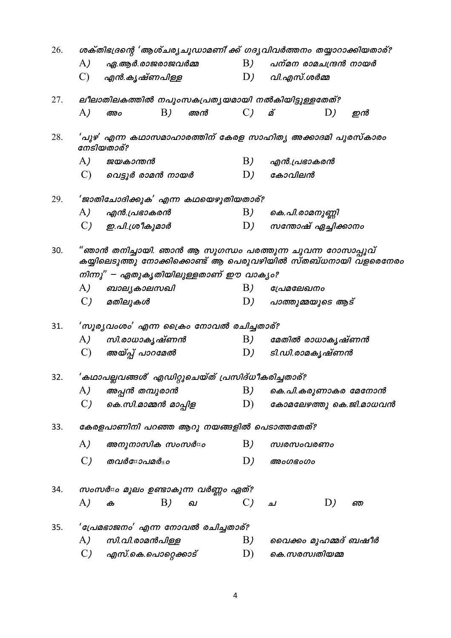| 26. | ശക്തിഭദ്രന്റെ 'ആശ്ചര്യചൂഡാമണി' ക്ക് ഗദ്യവിവർത്തനം തയ്യാറാക്കിയതാര്? |                                                                                                                                                                      |              |    |                 |                     |                         |                        |  |  |  |  |  |  |
|-----|---------------------------------------------------------------------|----------------------------------------------------------------------------------------------------------------------------------------------------------------------|--------------|----|-----------------|---------------------|-------------------------|------------------------|--|--|--|--|--|--|
|     | A)                                                                  | ഏ.ആർ.രാജരാജവർമ്മ                                                                                                                                                     |              |    | B)              |                     | പന്മന രാമചന്ദ്രൻ നായർ   |                        |  |  |  |  |  |  |
|     | $\mathcal{C}$                                                       | എൻ.കൃഷ്ണപിള്ള                                                                                                                                                        |              |    | D)              | വി.എസ്.ശർമ്മ        |                         |                        |  |  |  |  |  |  |
| 27. |                                                                     | ലീലാതിലകത്തിൽ നപുംസകപ്രതൃയമായി നൽകിയിട്ടുള്ളതേത്?                                                                                                                    |              |    |                 |                     |                         |                        |  |  |  |  |  |  |
|     | A)                                                                  | അം                                                                                                                                                                   | B)           | അൻ | $C$ )           | ์ മ്                | D)                      | ഇൻ                     |  |  |  |  |  |  |
| 28. |                                                                     | 'പുഴ' എന്ന കഥാസമാഹാരത്തിന് കേരള സാഹിതൃ അക്കാദമി പുരസ്കാരം<br>നേടിയതാര്?                                                                                              |              |    |                 |                     |                         |                        |  |  |  |  |  |  |
|     | A)                                                                  | ജയകാന്തൻ                                                                                                                                                             |              |    | B)              | എൻ.പ്രഭാകരൻ         |                         |                        |  |  |  |  |  |  |
|     | $\mathcal{C}$                                                       | വെട്ടൂർ രാമൻ നായർ                                                                                                                                                    |              |    | D)              | കോവിലൻ              |                         |                        |  |  |  |  |  |  |
| 29. |                                                                     | 'ജാതിചോദിക്കുക' എന്ന കഥയെഴുതിയതാര്?                                                                                                                                  |              |    |                 |                     |                         |                        |  |  |  |  |  |  |
|     | A)                                                                  | എൻ.പ്രഭാകരൻ                                                                                                                                                          |              |    | B)              | കെ.പി.രാമനുണ്ണി     |                         |                        |  |  |  |  |  |  |
|     | C)                                                                  | ഇ.പി.ശ്രീകുമാർ                                                                                                                                                       |              |    | D)              |                     | സന്തോഷ് ഏച്ചിക്കാനം     |                        |  |  |  |  |  |  |
| 30. |                                                                     | "ഞാൻ തനിച്ചായി. ഞാൻ ആ സുഗന്ധം പരത്തുന്ന ചുവന്ന റോസാപ്പൂവ്<br>കയ്യിലെടുത്തു നോക്കിക്കൊണ്ട് ആ പെരുവഴിയിൽ സ്തബ്ധനായി വളരെനേരം<br>നിന്നു" – ഏതുകൃതിയിലുള്ളതാണ് ഈ വാക്യം? |              |    |                 |                     |                         |                        |  |  |  |  |  |  |
|     |                                                                     |                                                                                                                                                                      |              |    |                 |                     |                         |                        |  |  |  |  |  |  |
|     | A)                                                                  | ബാല്യകാലസഖി                                                                                                                                                          |              |    | B)              | പ്രേമലേഖനം          |                         |                        |  |  |  |  |  |  |
|     | $\mathcal{C}$ )                                                     | മതിലുകൾ                                                                                                                                                              |              |    |                 |                     | $D$ ) പാത്തുമ്മയുടെ ആട് |                        |  |  |  |  |  |  |
| 31. | 'സൂര്യവംശം' എന്ന ക്രൈം നോവൽ രചിച്ചതാര്?<br>മേതിൽ രാധാകൃഷ്ണൻ         |                                                                                                                                                                      |              |    |                 |                     |                         |                        |  |  |  |  |  |  |
|     | A)                                                                  | സി.രാധാകൃഷ്ണൻ                                                                                                                                                        |              |    | B)              |                     |                         |                        |  |  |  |  |  |  |
|     | $\mathcal{C}$                                                       | അയ്പ്പ് പാറമേൽ                                                                                                                                                       |              |    | D)              |                     | ടി.ഡി.രാമകൃഷ്ണൻ         |                        |  |  |  |  |  |  |
| 32. | 'കഥാപല്ലവങ്ങൾ' എഡിറ്റുചെയ്ത് പ്രസിദ്ധീകരിച്ചതാര്?                   |                                                                                                                                                                      |              |    |                 |                     |                         |                        |  |  |  |  |  |  |
|     | A)                                                                  | അപ്പൻ തമ്പുരാൻ                                                                                                                                                       |              |    | B)              | കെ.പി.കരുണാകര മേനോൻ |                         |                        |  |  |  |  |  |  |
|     | $\mathcal{C}$ )                                                     | കെ.സി.മാമ്മൻ മാപ്പിള                                                                                                                                                 |              |    | D)              |                     |                         | കോമലേഴത്തു കെ.ജി.മാധവൻ |  |  |  |  |  |  |
| 33. |                                                                     | കേരളപാണിനി പറഞ്ഞ ആറു നയങ്ങളിൽ പെടാത്തതേത്?                                                                                                                           |              |    |                 |                     |                         |                        |  |  |  |  |  |  |
|     | A)                                                                  | അനുനാസിക സംസർ¤ം                                                                                                                                                      |              |    | B)              | സ്വരസംവരണം          |                         |                        |  |  |  |  |  |  |
|     | $\mathcal{C}$                                                       | തവർ¤ോപമർ±ഠ                                                                                                                                                           |              |    | D)              | അംഗഭംഗം             |                         |                        |  |  |  |  |  |  |
| 34. |                                                                     | സംസർ¤ം മൂലം ഉണ്ടാകുന്ന വർണ്ണം ഏത്?                                                                                                                                   |              |    |                 |                     |                         |                        |  |  |  |  |  |  |
|     | A)                                                                  | ക                                                                                                                                                                    | $\mathbf{B}$ | வ  | $\mathcal{C}$ ) | ച                   | D)                      | ഞ                      |  |  |  |  |  |  |
| 35. |                                                                     | 'പ്രേമഭാജനം' എന്ന നോവൽ രചിച്ചതാര്?                                                                                                                                   |              |    |                 |                     |                         |                        |  |  |  |  |  |  |
|     | A)                                                                  | സി.വി.രാമൻപിള്ള                                                                                                                                                      |              |    | B)              |                     | വൈക്കം മുഹമ്മദ് ബഷീർ    |                        |  |  |  |  |  |  |
|     | $\mathcal{C}$ )                                                     | എസ്.കെ.പൊറ്റെക്കാട്                                                                                                                                                  |              |    | D)              |                     | കെ.സരസ്വതിയമ്മ          |                        |  |  |  |  |  |  |
|     |                                                                     |                                                                                                                                                                      |              |    |                 |                     |                         |                        |  |  |  |  |  |  |

 $\overline{a}$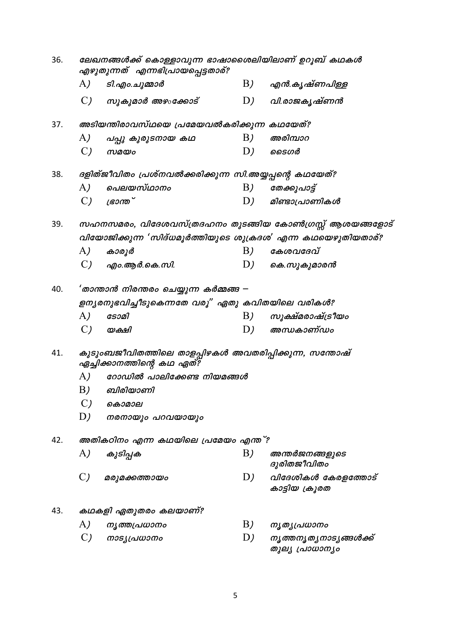| 36. | ലേഖനങ്ങൾക്ക് കൊള്ളാവുന്ന ഭാഷാശൈലിയിലാണ് ഉറൂബ് കഥകൾ<br>എഴുതുന്നത് എന്നഭിപ്രായപ്പെട്ടതാര്? |                                                                                      |    |                                                 |  |  |  |  |  |  |
|-----|------------------------------------------------------------------------------------------|--------------------------------------------------------------------------------------|----|-------------------------------------------------|--|--|--|--|--|--|
|     | A)                                                                                       | ടി.എം.ചുമ്മാർ                                                                        | B) | എൻ.കൃഷ്ണപിള്ള                                   |  |  |  |  |  |  |
|     | $\mathcal{C}$ )                                                                          | സുകുമാർ അഴംക്കോട്                                                                    | D) | വി.രാജകൃഷ്ണൻ                                    |  |  |  |  |  |  |
| 37. |                                                                                          | അടിയന്തിരാവസ്ഥയെ പ്രമേയവൽകരിക്കുന്ന കഥയേത്?                                          |    |                                                 |  |  |  |  |  |  |
|     | A)                                                                                       | പപ്പു കുരുടനായ കഥ                                                                    | B) | അരിമ്പാറ                                        |  |  |  |  |  |  |
|     | $\mathcal{C}$ )                                                                          | സമയം                                                                                 | D) | ടൈഗർ                                            |  |  |  |  |  |  |
| 38. |                                                                                          | ദളിത്ജീവിതം പ്രശ്നവൽക്കരിക്കുന്ന സി.അയ്യപ്പന്റെ കഥയേത്?                              |    |                                                 |  |  |  |  |  |  |
|     | A)                                                                                       | പെലയസ്ഥാനം                                                                           | B) | തേക്കുപാട്ട്                                    |  |  |  |  |  |  |
|     | $\mathcal{C}$ )                                                                          | ഭ്രാന്ത്                                                                             | D) | മിണ്ടാപ്രാണികൾ                                  |  |  |  |  |  |  |
| 39. |                                                                                          | സഹനസമരം, വിദേശവസ്ത്രദഹനം തുടങ്ങിയ കോൺഗ്രസ്സ് ആശയങ്ങളോട്                              |    |                                                 |  |  |  |  |  |  |
|     |                                                                                          | വിയോജിക്കുന്ന 'സിദ്ധമൂർത്തിയുടെ ശുക്രദശ' എന്ന കഥയെഴുതിയതാര്?                         |    |                                                 |  |  |  |  |  |  |
|     | A)                                                                                       | കാരൂർ                                                                                | B) | കേശവദേവ്                                        |  |  |  |  |  |  |
|     | $\mathcal{C}$ )                                                                          | എം.ആർ.കെ.സി.                                                                         | D) | കെ.സുകുമാരൻ                                     |  |  |  |  |  |  |
| 40. |                                                                                          | 'താന്താൻ നിരന്തരം ചെയ്യുന്ന കർമ്മങ്ങ –                                               |    |                                                 |  |  |  |  |  |  |
|     | ളനൃരനുഭവിച്ചീടുകെന്നതേ വരൂ" ഏതു കവിതയിലെ വരികൾ?                                          |                                                                                      |    |                                                 |  |  |  |  |  |  |
|     | A)                                                                                       | ടോമി                                                                                 | B) | സൂക്ഷ്മരാഷ്ട്രീയം                               |  |  |  |  |  |  |
|     | $\mathcal{C}$ )                                                                          | യക്ഷി                                                                                | D) | അന്ധകാണ്ഡം                                      |  |  |  |  |  |  |
| 41. |                                                                                          | കുടുംബജീവിതത്തിലെ താളപ്പിഴകൾ അവതരിപ്പിക്കുന്ന, സന്തോഷ്<br>ഏച്ചിക്കാനത്തിന്റെ കഥ ഏത്? |    |                                                 |  |  |  |  |  |  |
|     | A)                                                                                       | റോഡിൽ പാലിക്കേണ്ട നിയമങ്ങൾ                                                           |    |                                                 |  |  |  |  |  |  |
|     | B)                                                                                       | ബിരിയാണി                                                                             |    |                                                 |  |  |  |  |  |  |
|     | $\mathcal{C}$ )                                                                          | കൊമാല                                                                                |    |                                                 |  |  |  |  |  |  |
|     | D)                                                                                       | നരനായും പറവയായും                                                                     |    |                                                 |  |  |  |  |  |  |
| 42. |                                                                                          | അതികഠിനം എന്ന കഥയിലെ പ്രമേയം എന്ത്?                                                  |    |                                                 |  |  |  |  |  |  |
|     | A)                                                                                       | കുടിപ്പക                                                                             | B) | അന്തർജനങ്ങളുടെ<br>ദുരിതജീവിതം                   |  |  |  |  |  |  |
|     | $\mathcal{C}$                                                                            | മരുമക്കത്തായം                                                                        | D) | വിദേശികൾ കേരളത്തോട്<br>കാട്ടിയ ക്രൂരത           |  |  |  |  |  |  |
| 43. |                                                                                          | കഥകളി ഏതുതരം കലയാണ്?                                                                 |    |                                                 |  |  |  |  |  |  |
|     | A)                                                                                       | നൃത്തപ്രധാനം                                                                         | B) | നൃതൃപ്രധാനം                                     |  |  |  |  |  |  |
|     | $\mathcal{C}$ )                                                                          | നാട്യപ്രധാനം                                                                         | D) | <i>നൃത്തനൃതൃനാടൃങ്ങൾക്ക്</i><br>തുല്യ പ്രാധാനൃം |  |  |  |  |  |  |
|     |                                                                                          |                                                                                      |    |                                                 |  |  |  |  |  |  |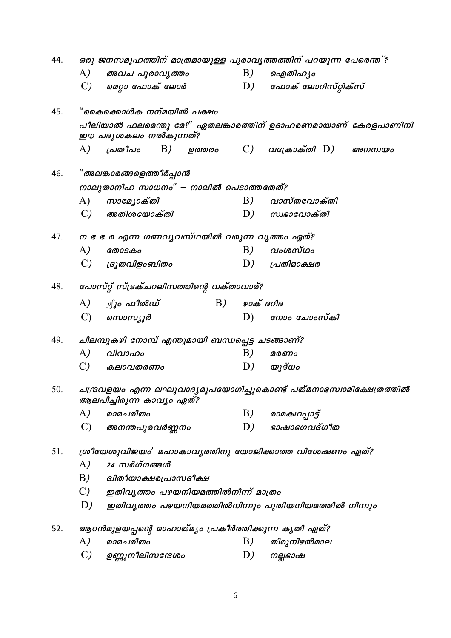| 44. | ഒരു ജനസമൂഹത്തിന് മാത്രമായുള്ള പുരാവൃത്തത്തിന് പറയുന്ന പേരെന്ത് ?                                 |                                                       |                            |           |                                                              |  |  |  |  |  |  |  |
|-----|--------------------------------------------------------------------------------------------------|-------------------------------------------------------|----------------------------|-----------|--------------------------------------------------------------|--|--|--|--|--|--|--|
|     | A)                                                                                               | അവച പുരാവൃത്തം                                        |                            | B)        | ഐതിഹൃം                                                       |  |  |  |  |  |  |  |
|     | $\mathcal{C}$                                                                                    | മെറ്റാ ഫോക് ലോർ                                       |                            | D)        | ഫോക് ലോറിസ്റ്റിക്സ്                                          |  |  |  |  |  |  |  |
| 45. |                                                                                                  | "കൈക്കൊൾക നന്മയിൽ പക്ഷം                               |                            |           |                                                              |  |  |  |  |  |  |  |
|     |                                                                                                  | ഈ പദൃശകലം നൽകുന്നത്?                                  |                            |           | പീലിയാൽ ഫലമെന്തു മേ?" ഏതലങ്കാരത്തിന് ഉദാഹരണമായാണ് കേരളപാണിനി |  |  |  |  |  |  |  |
|     | A)                                                                                               | പ്രതീപം                                               | $\rm{B)}$ ഉത്തരം $\rm{C)}$ |           | വക്രോക്തി D)<br>അനന്വയം                                      |  |  |  |  |  |  |  |
| 46. | " അലങ്കാരങ്ങളെത്തീർപ്പാൻ                                                                         |                                                       |                            |           |                                                              |  |  |  |  |  |  |  |
|     |                                                                                                  | നാലുതാനിഹ സാധനം" – നാലിൽ പെടാത്തതേത്?                 |                            |           |                                                              |  |  |  |  |  |  |  |
|     | A)                                                                                               | സാമ്യോക്തി                                            |                            | B)        | വാസ്തവോക്തി                                                  |  |  |  |  |  |  |  |
|     | $\mathcal{C}$                                                                                    | അതിശയോക്തി                                            |                            | D)        | സ്വഭാവോക്തി                                                  |  |  |  |  |  |  |  |
| 47. | ന ഭ ഭ ര എന്ന ഗണവൃവസ്ഥയിൽ വരുന്ന വൃത്തം ഏത്?                                                      |                                                       |                            |           |                                                              |  |  |  |  |  |  |  |
|     | A)                                                                                               | തോടകം                                                 |                            | B)        | വംശസ്ഥം                                                      |  |  |  |  |  |  |  |
|     | $\mathcal{C}$                                                                                    | ദ്രുതവിളംബിതം                                         |                            | D)        | പ്രതിമാക്ഷര                                                  |  |  |  |  |  |  |  |
| 48. |                                                                                                  | പോസ്റ്റ് സ്ട്രക്ചറലിസത്തിന്റെ വക്താവാര്?              |                            |           |                                                              |  |  |  |  |  |  |  |
|     | A)                                                                                               | _vf <b>ൂം ഫീൽഡ്</b>                                   | B)                         | ഴാക് ദറിദ |                                                              |  |  |  |  |  |  |  |
|     | $\mathcal{C}$                                                                                    | സൊസ്യൂർ                                               |                            | D)        | നോം ചോംസ്കി                                                  |  |  |  |  |  |  |  |
| 49. | ചിലമ്പുകഴി നോമ്പ് എന്തുമായി ബന്ധപ്പെട്ട ചടങ്ങാണ്?                                                |                                                       |                            |           |                                                              |  |  |  |  |  |  |  |
|     | A)                                                                                               | വിവാഹം                                                |                            | B)        | മരണം                                                         |  |  |  |  |  |  |  |
|     | $\mathcal{C}$                                                                                    | കലാവതരണം                                              |                            | D)        | യുദ്ധം                                                       |  |  |  |  |  |  |  |
| 50. | ചന്ദ്രവളയം എന്ന ലഘുവാദ്യമുപയോഗിച്ചുകൊണ്ട് പത്മനാഭസ്വാമിക്ഷേത്രത്തിൽ<br>ആലപിച്ചിരുന്ന കാവ്യം ഏത്? |                                                       |                            |           |                                                              |  |  |  |  |  |  |  |
|     | A)                                                                                               | രാമചരിതം                                              |                            | B)        | രാമകഥപ്പാട്ട്                                                |  |  |  |  |  |  |  |
|     | $\mathcal{C}$                                                                                    | അനന്തപുരവർണ്ണനം                                       |                            | D)        | ഭാഷാഭഗവദ്ഗീത                                                 |  |  |  |  |  |  |  |
| 51. |                                                                                                  |                                                       |                            |           | ശ്രീയേശുവിജയം' മഹാകാവൃത്തിനു യോജിക്കാത്ത വിശേഷണം ഏത്?        |  |  |  |  |  |  |  |
|     | A)                                                                                               | 24 സർഗ്ഗങ്ങൾ                                          |                            |           |                                                              |  |  |  |  |  |  |  |
|     | B)                                                                                               | ദ്വിതീയാക്ഷരപ്രാസദീക്ഷ                                |                            |           |                                                              |  |  |  |  |  |  |  |
|     | $\mathcal{C}$                                                                                    | ഇതിവൃത്തം പഴയനിയമത്തിൽനിന്ന് മാത്രം                   |                            |           |                                                              |  |  |  |  |  |  |  |
|     | D)                                                                                               |                                                       |                            |           | ഇതിവൃത്തം പഴയനിയമത്തിൽനിന്നും പുതിയനിയമത്തിൽ നിന്നും         |  |  |  |  |  |  |  |
| 52. |                                                                                                  | ആറൻമുളയപ്പന്റെ മാഹാത്മ്യം പ്രകീർത്തിക്കുന്ന കൃതി ഏത്? |                            |           |                                                              |  |  |  |  |  |  |  |
|     | A)                                                                                               | രാമചരിതം                                              |                            | B)        | തിരുനിഴൽമാല                                                  |  |  |  |  |  |  |  |
|     | $\mathcal{C}$                                                                                    | ഉണ്ണുനീലിസന്ദേശം                                      |                            | D)        | നല്ലഭാഷ                                                      |  |  |  |  |  |  |  |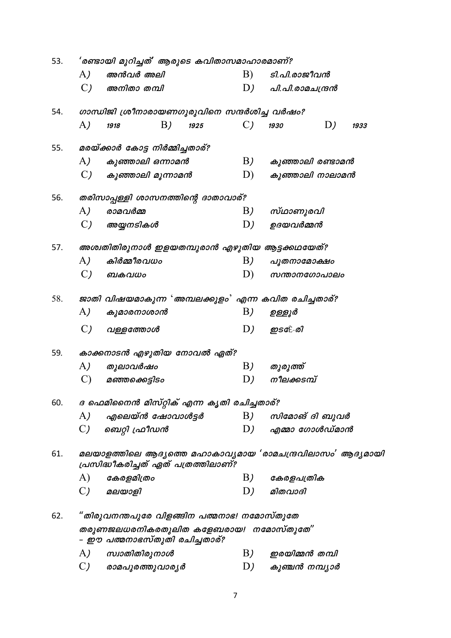| 53. | 'രണ്ടായി മുറിച്ചത്' ആരുടെ കവിതാസമാഹാരമാണ്?           |                                                                                                 |    |      |                 |                  |    |      |  |  |  |  |  |
|-----|------------------------------------------------------|-------------------------------------------------------------------------------------------------|----|------|-----------------|------------------|----|------|--|--|--|--|--|
|     | A)                                                   | അൻവർ അലി                                                                                        |    |      | B)              | ടി.പി.രാജീവൻ     |    |      |  |  |  |  |  |
|     | $\mathcal{C}$ )                                      | അനിതാ തമ്പി                                                                                     |    |      | D)              | പി.പി.രാമചന്ദ്രൻ |    |      |  |  |  |  |  |
| 54. |                                                      | ഗാന്ധിജി ശ്രീനാരായണഗുരുവിനെ സന്ദർശിച്ച വർഷം?                                                    |    |      |                 |                  |    |      |  |  |  |  |  |
|     | A)                                                   | 1918                                                                                            | B) | 1925 | $\mathcal{C}$ ) | 1930             | D) | 1933 |  |  |  |  |  |
| 55. |                                                      | മരയ്ക്കാർ കോട്ട നിർമ്മിച്ചതാര്?                                                                 |    |      |                 |                  |    |      |  |  |  |  |  |
|     | A)                                                   | കുഞ്ഞാലി ഒന്നാമൻ                                                                                |    |      | B)              | കുഞ്ഞാലി രണ്ടാമൻ |    |      |  |  |  |  |  |
|     | $\mathcal{C}$ )                                      | കുഞ്ഞാലി മൂന്നാമൻ                                                                               |    |      | D)              | കുഞ്ഞാലി നാലാമൻ  |    |      |  |  |  |  |  |
| 56. | തരിസാപ്പള്ളി ശാസനത്തിന്റെ ദാതാവാര്?                  |                                                                                                 |    |      |                 |                  |    |      |  |  |  |  |  |
|     | A)                                                   | രാമവർമ്മ                                                                                        |    |      | B)              | സ്ഥാണുരവി        |    |      |  |  |  |  |  |
|     | $\mathcal{C}$ )                                      | അയ്യനടികൾ                                                                                       |    |      | D)              | ഉദയവർമ്മൻ        |    |      |  |  |  |  |  |
| 57. |                                                      | അശ്വതിതിരുനാൾ ഇളയതമ്പുരാൻ എഴുതിയ ആട്ടക്കഥയേത്?                                                  |    |      |                 |                  |    |      |  |  |  |  |  |
|     | A)                                                   | കിർമ്മീരവധം                                                                                     |    |      | B)              | പൂതനാമോക്ഷം      |    |      |  |  |  |  |  |
|     | $\mathcal{C}$                                        | ബകവധം                                                                                           |    |      | D)              | സന്താനഗോപാലം     |    |      |  |  |  |  |  |
| 58. | ജാതി വിഷയമാകുന്ന 'അമ്പലക്കുളം' എന്ന കവിത രചിച്ചതാര്? |                                                                                                 |    |      |                 |                  |    |      |  |  |  |  |  |
|     | A)                                                   | കുമാരനാശാൻ                                                                                      |    |      | B)              | ഉള്ളൂർ           |    |      |  |  |  |  |  |
|     | $\mathcal{C}$                                        | വള്ളത്തോൾ                                                                                       |    |      | D)              | ഇട¢-രി           |    |      |  |  |  |  |  |
| 59. | കാക്കനാടൻ എഴുതിയ നോവൽ ഏത്?                           |                                                                                                 |    |      |                 |                  |    |      |  |  |  |  |  |
|     | A)                                                   | തുലാവർഷം                                                                                        |    |      | B)              | തുരുത്ത്         |    |      |  |  |  |  |  |
|     | C)                                                   | മഞ്ഞക്കെട്ടിടം                                                                                  |    |      | D)              | നീലക്കടമ്പ്      |    |      |  |  |  |  |  |
| 60. |                                                      | ദ ഫെമിനൈൻ മിസ്റ്റിക് എന്ന കൃതി രചിച്ചതാര്?                                                      |    |      |                 |                  |    |      |  |  |  |  |  |
|     | A)                                                   | എലെയ്ൻ ഷോവാൾട്ടർ                                                                                |    |      | B)              | സിമോങ് ദി ബുവർ   |    |      |  |  |  |  |  |
|     | $\mathcal{C}$                                        | ബെറ്റി ഫ്രീഡൻ                                                                                   |    |      | D)              | എമ്മാ ഗോൾഡ്മാൻ   |    |      |  |  |  |  |  |
| 61. |                                                      | മലയാളത്തിലെ ആദൃത്തെ മഹാകാവൃമായ 'രാമചന്ദ്രവിലാസം' ആദൃമായി<br>പ്രസിദ്ധീകരിച്ചത് ഏത് പത്രത്തിലാണ്? |    |      |                 |                  |    |      |  |  |  |  |  |
|     | A)                                                   | കേരളമിത്രം                                                                                      |    |      | B)              | കേരളപത്രിക       |    |      |  |  |  |  |  |
|     | C)                                                   | മലയാളി                                                                                          |    |      | D)              | മിതവാദി          |    |      |  |  |  |  |  |
| 62. |                                                      | "തിരുവനന്തപുരേ വിളങ്ങിന പത്മനാഭ! നമോസ്തുതേ                                                      |    |      |                 |                  |    |      |  |  |  |  |  |
|     |                                                      | തരുണജലധരനികരതുലിത കളേബരായ! നമോസ്തുതേ"<br>- ഈ പത്മനാഭസ്തുതി രചിച്ചതാര്?                          |    |      |                 |                  |    |      |  |  |  |  |  |
|     | A)                                                   | സ്വാതിതിരുനാൾ                                                                                   |    |      | B)              | ഇരയിമ്മൻ തമ്പി   |    |      |  |  |  |  |  |
|     | $\mathcal{C}$                                        | രാമപുരത്തുവാര്യർ                                                                                |    |      | D)              | കുഞ്ചൻ നമ്പ്യാർ  |    |      |  |  |  |  |  |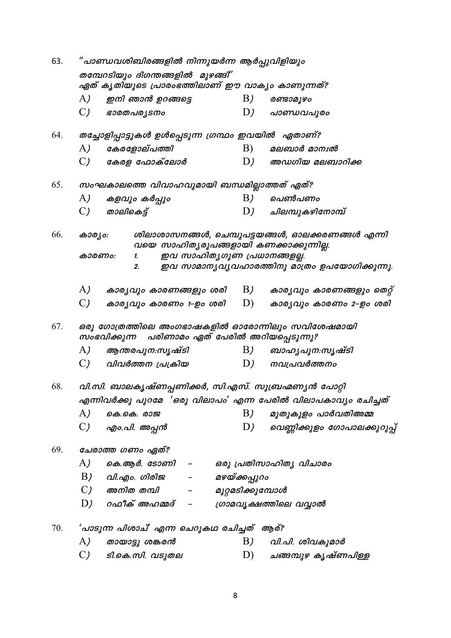| 63. |                                             | "പാണ്ഡവശിബിരങ്ങളിൽ നിന്നുയർന്ന ആർപ്പുവിളിയും                                                          |                   |                                                  |  |  |  |  |  |  |  |
|-----|---------------------------------------------|-------------------------------------------------------------------------------------------------------|-------------------|--------------------------------------------------|--|--|--|--|--|--|--|
|     |                                             | തമ്പേറടിയും ദിഗന്തങ്ങളിൽ മുഴങ്ങി"                                                                     |                   |                                                  |  |  |  |  |  |  |  |
|     |                                             | ഏത് കൃതിയുടെ പ്രാരംഭത്തിലാണ് ഈ വാകൃം കാണുന്നത്?                                                       |                   |                                                  |  |  |  |  |  |  |  |
|     | A)                                          | ഇനി ഞാൻ ഉറങ്ങട്ടെ                                                                                     | B)                | രണ്ടാമൂഴം                                        |  |  |  |  |  |  |  |
|     | $\mathcal{C}$ )                             | ഭാരതപരൃടനം                                                                                            | D)                | പാണ്ഡവപുരം                                       |  |  |  |  |  |  |  |
| 64. |                                             | തച്ചോളിപ്പാട്ടുകൾ ഉൾപ്പെടുന്ന ഗ്രന്ഥം ഇവയിൽ ഏതാണ്?                                                    |                   |                                                  |  |  |  |  |  |  |  |
|     | A)                                          | കേരളോല്പത്തി                                                                                          | B)                | മലബാർ മാന്വൽ                                     |  |  |  |  |  |  |  |
|     | $\mathcal{C}$ )                             | കേരള ഫോക്ലോർ                                                                                          | D)                | അഡഗിയ മലബാറിക്ക                                  |  |  |  |  |  |  |  |
| 65. | സംഘകാലത്തെ വിവാഹവുമായി ബന്ധമില്ലാത്തത് ഏത്? |                                                                                                       |                   |                                                  |  |  |  |  |  |  |  |
|     | A)                                          | കളവും കർപ്പും                                                                                         | B)                | പെൺപണം                                           |  |  |  |  |  |  |  |
|     | $\mathcal{C}$ )                             | ைലികെട്ട്                                                                                             |                   | $D$ ) ചിലമ്പുകഴിനോമ്പ്                           |  |  |  |  |  |  |  |
| 66. | കാര്യം:<br>കാരണം:                           | വയെ സാഹിത്യരൂപങ്ങളായി കണക്കാക്കുന്നില്ല.<br>ഇവ സാഹിതൃഗുണ പ്രധാനങ്ങളല്ല.<br>1.                         |                   | ശിലാശാസനങ്ങൾ, ചെമ്പുപട്ടയങ്ങൾ, ഓലക്കരണങ്ങൾ എന്നി |  |  |  |  |  |  |  |
|     |                                             | 2.                                                                                                    |                   | ഇവ സാമാനൃവൃവഹാരത്തിനു മാത്രം ഉപയോഗിക്കുന്നു.     |  |  |  |  |  |  |  |
|     | A)                                          | കാരൃവും കാരണങ്ങളും ശരി                                                                                | B)                | കാര്യവും കാരണങ്ങളും തെറ്റ്                       |  |  |  |  |  |  |  |
|     | $\mathcal{C}$ )                             | കാര്യവും കാരണം 1-ഉം ശരി                                                                               | D)                | കാര്യവും കാരണം 2-ഉം ശരി                          |  |  |  |  |  |  |  |
| 67. |                                             | ഒരു ഗോത്രത്തിലെ അംഗഭാഷകളിൽ ഓരോന്നിലും സവിശേഷമായി<br>പരിണാമം ഏത് പേരിൽ അറിയപ്പെടുന്നു?<br>സംഭവിക്കുന്ന |                   |                                                  |  |  |  |  |  |  |  |
|     | A)                                          | ആന്തരപുന:സൃഷ്ടി                                                                                       | B)                | ബാഹൃപുനനസൃഷ്ടി                                   |  |  |  |  |  |  |  |
|     | $\mathcal{C}$ )                             | വിവർത്തന പ്രക്രിയ                                                                                     | D)                | നവപ്രവർത്തനം                                     |  |  |  |  |  |  |  |
| 68. |                                             | വി.സി. ബാലകൃഷ്ണപ്പണിക്കർ, സി.എസ്. സുബ്രഹ്മണ്യൻ പോറ്റി                                                 |                   |                                                  |  |  |  |  |  |  |  |
|     |                                             | എന്നിവർക്കു പുറമേ 'ഒരു വിലാപം' എന്ന പേരിൽ വിലാപകാവ്യം രചിച്ചത്                                        |                   |                                                  |  |  |  |  |  |  |  |
|     | A)                                          | தை. கெ. 00ஜ                                                                                           | B)                | മുതുകുളം പാർവതിഅമ്മ                              |  |  |  |  |  |  |  |
|     | $\mathcal{C}$ )                             | എം.പി. അപ്പൻ                                                                                          | D)                | വെണ്ണിക്കുളം ഗോപാലക്കുറുപ്പ്                     |  |  |  |  |  |  |  |
| 69. |                                             | ചേരാത്ത ഗണം ഏത്?                                                                                      |                   |                                                  |  |  |  |  |  |  |  |
|     | A)                                          | കെ.ആർ. ടോണി                                                                                           |                   | ഒരു പ്രതിസാഹിതൃ വിചാരം                           |  |  |  |  |  |  |  |
|     | B)                                          | വി.എം. ഗിരിജ                                                                                          | മഴയ്ക്കപ്പുറം     |                                                  |  |  |  |  |  |  |  |
|     | $\mathcal{C}$ )                             | അനിത തമ്പി                                                                                            | മുറ്റമടിക്കുമ്പോൾ |                                                  |  |  |  |  |  |  |  |
|     | D)                                          | റഫീക് അഹമ്മദ്                                                                                         |                   | ശ്രാമവൃക്ഷത്തിലെ വവ്വാൽ                          |  |  |  |  |  |  |  |
| 70. |                                             | 'പാടുന്ന പിശാച്' എന്ന ചെറുകഥ രചിച്ചത് ആര്?                                                            |                   |                                                  |  |  |  |  |  |  |  |
|     | A)                                          | തായാട്ടു ശങ്കരൻ                                                                                       | B)                | വി.പി. ശിവകുമാർ                                  |  |  |  |  |  |  |  |
|     | $\mathcal{C}$                               | ടി.കെ.സി. വടുതല                                                                                       | D)                | ചങ്ങമ്പുഴ കൃഷ്ണപിള്ള                             |  |  |  |  |  |  |  |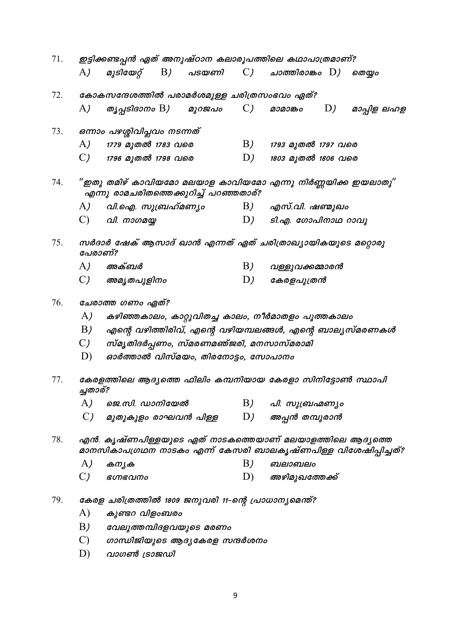| 71.<br>ഇട്ടിക്കണ്ടപ്പൻ ഏത് അനുഷ്ഠാന കലാരൂപത്തിലെ കഥാപാത്രമാണ്? |                                 |                                                           |  |        |                                                            |                                                           |    |                                                                |  |  |  |  |
|----------------------------------------------------------------|---------------------------------|-----------------------------------------------------------|--|--------|------------------------------------------------------------|-----------------------------------------------------------|----|----------------------------------------------------------------|--|--|--|--|
|                                                                | മുടിയേറ്റ്<br>B)<br>പടയണി<br>A) |                                                           |  |        |                                                            | ചാത്തിരാങ്കം $D$ )                                        |    | லைழு                                                           |  |  |  |  |
| 72.                                                            |                                 | കോകസന്ദേശത്തിൽ പരാമർശമുള്ള ചരിത്രസംഭവം ഏത്?               |  |        |                                                            |                                                           |    |                                                                |  |  |  |  |
|                                                                | A)                              | തൃപ്പടിദാനം $\rm B)$                                      |  | മുറജപം | $\mathcal{C}$ )                                            | മാമാങ്കം                                                  | D) | മാപ്പിള ലഹള                                                    |  |  |  |  |
| 73.                                                            |                                 | ഒന്നാം പഴശ്ശിവിപ്ലവം നടന്നത്                              |  |        |                                                            |                                                           |    |                                                                |  |  |  |  |
|                                                                | A)                              | 1779 മുതൽ 1783 വരെ                                        |  |        | B)                                                         | 1793 മുതൽ 1797 വരെ                                        |    |                                                                |  |  |  |  |
|                                                                | $\mathcal{C}$ )                 | 1796 മുതൽ 1798 വരെ                                        |  |        | D)                                                         | 1803 മുതൽ 1806 വരെ                                        |    |                                                                |  |  |  |  |
| 74.                                                            |                                 | എന്നു രാമചരിതത്തെക്കുറിച്ച് പറഞ്ഞതാര്?                    |  |        | "ഇതു തമിഴ് കാവിയമോ മലയാള കാവിയമോ എന്നു നിർണ്ണയിക്ക ഇയലാതു" |                                                           |    |                                                                |  |  |  |  |
|                                                                | A)                              | വി.ഐ. സുബ്രഹ്മണ്യം                                        |  |        | B)                                                         | എസ്.വി. ഷണ്മുഖം                                           |    |                                                                |  |  |  |  |
|                                                                | $\mathcal{C}$                   | വി. നാഗമയ്യ                                               |  |        | D)                                                         | ടി.എ. ഗോപിനാഥ റാവു                                        |    |                                                                |  |  |  |  |
| 75.                                                            | പേരാണ്?                         |                                                           |  |        | സർദാർ ഷേക് ആസാദ് ഖാൻ എന്നത് ഏത് ചരിത്രാഖ്യായികയുടെ മറ്റൊരു |                                                           |    |                                                                |  |  |  |  |
|                                                                | A)                              | അക്ബർ                                                     |  |        | B)                                                         | വള്ളുവക്കമ്മാരൻ                                           |    |                                                                |  |  |  |  |
|                                                                | $\mathcal{C}$ )                 | അമൃതപുളിനം                                                |  |        | D)                                                         | കേരളപുത്രൻ                                                |    |                                                                |  |  |  |  |
| 76.                                                            |                                 | ചേരാത്ത ഗണം ഏത്?                                          |  |        |                                                            |                                                           |    |                                                                |  |  |  |  |
|                                                                | A)                              |                                                           |  |        |                                                            | കഴിഞ്ഞകാലം, കാറ്റുവിതച്ച കാലം, നീർമാതളം പൂത്തകാലം         |    |                                                                |  |  |  |  |
|                                                                | B)                              |                                                           |  |        |                                                            | എന്റെ വഴിത്തിരിവ്, എന്റെ വഴിയമ്പലങ്ങൾ, എന്റെ ബാല്യസ്മരണകൾ |    |                                                                |  |  |  |  |
|                                                                | $\mathcal{C}$ )                 | സ്മൃതിദർപ്പണം, സ്മരണമഞ്ജരി, മനസാസ്മരാമി                   |  |        |                                                            |                                                           |    |                                                                |  |  |  |  |
|                                                                | D)                              | ഓർത്താൽ വിസ്മയം, തിരനോട്ടം, സോപാനം                        |  |        |                                                            |                                                           |    |                                                                |  |  |  |  |
| 77.                                                            | ച്ചതാര്?                        | കേരളത്തിലെ ആദൃത്തെ ഫിലിം കമ്പനിയായ കേരളാ സിനിട്ടോൺ സ്ഥാപി |  |        |                                                            |                                                           |    |                                                                |  |  |  |  |
|                                                                | A)                              | ജെ.സി. ഡാനിയേൽ                                            |  |        | B)                                                         | പി. സുബ്രഹ്മണ്യം                                          |    |                                                                |  |  |  |  |
|                                                                | $\mathcal{C}$                   | മുതുകുളം രാഘവൻ പിള്ള                                      |  |        | D)                                                         | അപ്പൻ തമ്പുരാൻ                                            |    |                                                                |  |  |  |  |
| 78.                                                            |                                 | എൻ. കൃഷ്ണപിള്ളയുടെ ഏത് നാടകത്തെയാണ് മലയാളത്തിലെ ആദ്യത്തെ  |  |        |                                                            |                                                           |    | മാനസികാപഗ്രഥന നാടകം എന്ന് കേസരി ബാലകൃഷ്ണപിള്ള വിശേഷിപ്പിച്ചത്? |  |  |  |  |
|                                                                | A)                              | കനൃക                                                      |  |        | B)                                                         | ബലാബലം                                                    |    |                                                                |  |  |  |  |
|                                                                | $\mathcal{C}$                   | ഭഗ്നഭവനം                                                  |  |        | D)                                                         | അഴിമുഖത്തേക്ക്                                            |    |                                                                |  |  |  |  |
| 79.                                                            |                                 | കേരള ചരിത്രത്തിൽ 1809 ജനുവരി 11–ന്റെ പ്രാധാനൃമെന്ത്?      |  |        |                                                            |                                                           |    |                                                                |  |  |  |  |
|                                                                | A)                              | കുണ്ടറ വിളംബരം                                            |  |        |                                                            |                                                           |    |                                                                |  |  |  |  |
|                                                                | B)                              | വേലുത്തമ്പിദളവയുടെ മരണം                                   |  |        |                                                            |                                                           |    |                                                                |  |  |  |  |
|                                                                | $\mathcal{C}$                   | ഗാന്ധിജിയുടെ ആദൃകേരള സന്ദർശനം                             |  |        |                                                            |                                                           |    |                                                                |  |  |  |  |
|                                                                | D)                              | വാഗൺ ട്രാജഡി                                              |  |        |                                                            |                                                           |    |                                                                |  |  |  |  |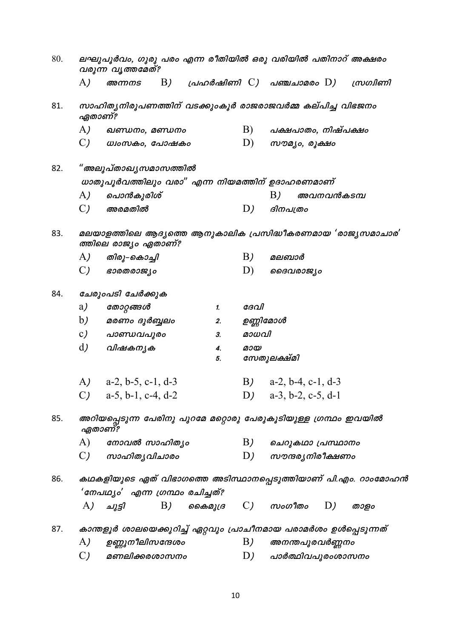| 80. | ലഘുപൂർവം, ഗുരു പരം എന്ന രീതിയിൽ ഒരു വരിയിൽ പതിനാറ് അക്ഷരം<br>വരുന്ന വൃത്തമേത്? |                                                                                                   |    |                           |          |                                                 |                         |               |                     |      |  |  |
|-----|--------------------------------------------------------------------------------|---------------------------------------------------------------------------------------------------|----|---------------------------|----------|-------------------------------------------------|-------------------------|---------------|---------------------|------|--|--|
|     | A)                                                                             | അന്നനട $\, {\bf B)} \,$ പ്രഹർഷിണി $\, {\bf C)} \,$ പഞ്ചചാമരം $\, {\bf D)} \,$ സ്രഗ്വിണി           |    |                           |          |                                                 |                         |               |                     |      |  |  |
| 81. | ഏതാണ്?                                                                         | സാഹിതൃനിരൂപണത്തിന് വടക്കുംകൂർ രാജരാജവർമ്മ കല്പിച്ച വിഭജനം                                         |    |                           |          |                                                 |                         |               |                     |      |  |  |
|     | A)                                                                             | ഖണ്ഡനം, മണ്ഡനം                                                                                    |    |                           |          | B)                                              |                         |               | പക്ഷപാതം, നിഷ്പക്ഷം |      |  |  |
|     | $\mathcal{C}$ )                                                                | ധ്വംസകം, പോഷകം                                                                                    |    |                           |          | D)                                              |                         | സൗമൃം, രൂക്ഷം |                     |      |  |  |
| 82. |                                                                                | "അലുപ്താഖൃസമാസത്തിൽ                                                                               |    |                           |          |                                                 |                         |               |                     |      |  |  |
|     |                                                                                |                                                                                                   |    |                           |          | ധാതുപൂർവത്തിലും വരാ" എന്ന നിയമത്തിന് ഉദാഹരണമാണ് |                         |               |                     |      |  |  |
|     | A)                                                                             | പൊൻകുരിശ്                                                                                         |    |                           |          |                                                 | B)                      |               | അവനവൻകടമ്പ          |      |  |  |
|     | $\mathcal{C}$ )                                                                | അരമതിൽ                                                                                            |    |                           |          | D)                                              | ദിനപത്രം                |               |                     |      |  |  |
| 83. |                                                                                | മലയാളത്തിലെ ആദൃത്തെ ആനുകാലിക പ്രസിദ്ധീകരണമായ 'രാജൃസമാചാര'<br>ത്തിലെ രാജ്യം ഏതാണ്?                 |    |                           |          |                                                 |                         |               |                     |      |  |  |
|     | A)                                                                             | തിരു–കൊച്ചി                                                                                       |    |                           |          | B)                                              | മലബാർ                   |               |                     |      |  |  |
|     | $\mathcal{C}$ )                                                                | ഭാരതരാജ്യം                                                                                        |    |                           |          | D)                                              |                         | ൈവരാജ്യം      |                     |      |  |  |
| 84. |                                                                                | ചേരുംപടി ചേർക്കുക                                                                                 |    |                           |          |                                                 |                         |               |                     |      |  |  |
|     | a)                                                                             | തോറ്റങ്ങൾ                                                                                         |    |                           | 1.       | ദേവി                                            |                         |               |                     |      |  |  |
|     | b)                                                                             | മരണം ദുർബ്ബലം                                                                                     |    |                           | 2.       | ഉണ്ണിമോൾ                                        |                         |               |                     |      |  |  |
|     | c)                                                                             | പാണ്ഡവപുരം                                                                                        |    |                           | З.       | മാധവി                                           |                         |               |                     |      |  |  |
|     | $\rm d$                                                                        | വിഷകനൃക                                                                                           |    |                           | 4.<br>5. | മായ                                             | സേതുലക്ഷ്മി             |               |                     |      |  |  |
|     |                                                                                | A) $a-2, b-5, c-1, d-3$                                                                           |    |                           |          |                                                 | B) $a-2, b-4, c-1, d-3$ |               |                     |      |  |  |
|     |                                                                                |                                                                                                   |    |                           |          |                                                 |                         |               |                     |      |  |  |
|     | $\mathcal{C}$ )                                                                | $a-5$ , $b-1$ , $c-4$ , $d-2$                                                                     |    |                           |          |                                                 | D) $a-3, b-2, c-5, d-1$ |               |                     |      |  |  |
| 85. | ഏതാണ്?                                                                         | അറിയപ്പെടുന്ന പേരിനു പുറമേ മറ്റൊരു പേരുകൂടിയുള്ള ഗ്രന്ഥം ഇവയിൽ                                    |    |                           |          |                                                 |                         |               |                     |      |  |  |
|     | A)                                                                             | നോവൽ സാഹിത്യം                                                                                     |    |                           |          | B)                                              |                         |               | ചെറുകഥാ പ്രസ്ഥാനം   |      |  |  |
|     | $\mathcal{C}$ )                                                                | സാഹിതൃവിചാരം                                                                                      |    |                           |          | D)                                              |                         |               | സൗന്ദര്യനിരീക്ഷണം   |      |  |  |
| 86. |                                                                                | കഥകളിയുടെ ഏത് വിഭാഗത്തെ അടിസ്ഥാനപ്പെടുത്തിയാണ് പി.എം. റാംമോഹൻ<br>'നേപഥ്യം' എന്ന ഗ്രന്ഥം രചിച്ചത്? |    |                           |          |                                                 |                         |               |                     |      |  |  |
|     |                                                                                |                                                                                                   | B) | കൈമുദ്ര C <i>) സംഗീതം</i> |          |                                                 |                         |               | D)                  |      |  |  |
|     |                                                                                | A) ചൂ <i>ട്ടി</i>                                                                                 |    |                           |          |                                                 |                         |               |                     | താളം |  |  |
| 87. |                                                                                | കാന്തളൂർ ശാലയെക്കുറിച്ച് ഏറ്റവും പ്രാചീനമായ പരാമർശം ഉൾപ്പെടുന്നത്                                 |    |                           |          |                                                 |                         |               |                     |      |  |  |
|     | A)                                                                             | ഉണ്ണുനീലിസന്ദേശം                                                                                  |    |                           |          | B)                                              |                         |               | അനന്തപുരവർണ്ണനം     |      |  |  |
|     | $\mathcal{C}$ )                                                                | മണലിക്കരശാസനം                                                                                     |    |                           |          | D)                                              |                         |               | പാർത്ഥിവപുരംശാസനം   |      |  |  |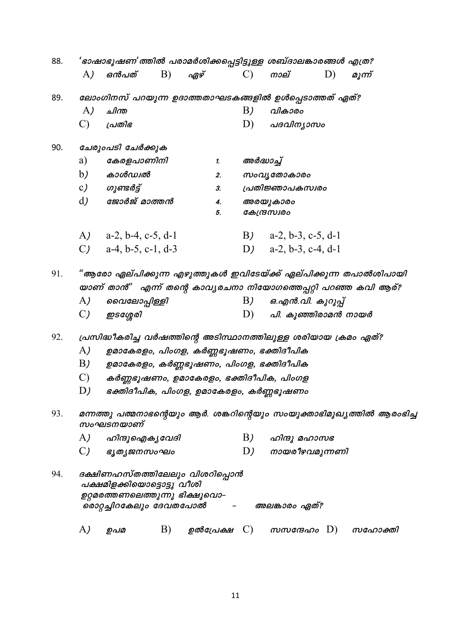| 'ഭാഷാഭൂഷണ' ത്തിൽ പരാമർശിക്കപ്പെട്ടിട്ടുള്ള ശബ്ദാലങ്കാരങ്ങൾ എത്ര?<br>88. |                                                                 |                                                                                                                           |    |     |           |                  |                                         |    |                                                                         |  |  |  |  |
|-------------------------------------------------------------------------|-----------------------------------------------------------------|---------------------------------------------------------------------------------------------------------------------------|----|-----|-----------|------------------|-----------------------------------------|----|-------------------------------------------------------------------------|--|--|--|--|
|                                                                         | A)                                                              | ഒൻപത്                                                                                                                     | B) | ഏഴ് |           | $\mathcal{C}$    | നാല്                                    | D) | മൂന്ന്                                                                  |  |  |  |  |
| 89.                                                                     |                                                                 | ലോംഗിനസ് പറയുന്ന ഉദാത്തതാഘടകങ്ങളിൽ ഉൾപ്പെടാത്തത് ഏത്?                                                                     |    |     |           |                  |                                         |    |                                                                         |  |  |  |  |
|                                                                         | A)                                                              | ചിന്ത                                                                                                                     |    |     |           | B)               | വികാരം                                  |    |                                                                         |  |  |  |  |
|                                                                         | $\mathcal{C}$                                                   | പ്രതിഭ                                                                                                                    |    |     |           | D)               | പദവിനൃാസം                               |    |                                                                         |  |  |  |  |
| 90.                                                                     |                                                                 | ചേരുംപടി ചേർക്കുക                                                                                                         |    |     |           |                  |                                         |    |                                                                         |  |  |  |  |
|                                                                         | a)                                                              | കേരളപാണിനി                                                                                                                |    |     | 1.        | അർദ്ധാച്ച്       |                                         |    |                                                                         |  |  |  |  |
|                                                                         | b)                                                              | കാൾഡ്വൽ                                                                                                                   |    |     | 2.        | സംവൃതോകാരം       |                                         |    |                                                                         |  |  |  |  |
|                                                                         | c)                                                              | ഗുണ്ടർട്ട്                                                                                                                |    |     |           | പ്രതിജ്ഞാപകസ്വരം |                                         |    |                                                                         |  |  |  |  |
|                                                                         | $\rm d$                                                         | ജോർജ് മാത്തൻ                                                                                                              |    |     | 4.        |                  | അരയുകാരം                                |    |                                                                         |  |  |  |  |
|                                                                         |                                                                 |                                                                                                                           |    |     | 5.        |                  | കേന്ദ്രസ്വരം                            |    |                                                                         |  |  |  |  |
|                                                                         | A)                                                              | $a-2$ , b-4, c-5, d-1                                                                                                     |    |     |           | B)               | $a-2$ , $b-3$ , $c-5$ , $d-1$           |    |                                                                         |  |  |  |  |
|                                                                         | $\mathcal{C}$ )                                                 | $a-4, b-5, c-1, d-3$                                                                                                      |    |     |           | D)               | $a-2$ , $b-3$ , $c-4$ , $d-1$           |    |                                                                         |  |  |  |  |
| 91.                                                                     |                                                                 |                                                                                                                           |    |     |           |                  |                                         |    | "ആരോ ഏല്പിക്കുന്ന എഴുത്തുകൾ ഇവിടേയ്ക്ക് ഏല്പിക്കുന്ന തപാൽശിപായി         |  |  |  |  |
|                                                                         |                                                                 |                                                                                                                           |    |     |           |                  |                                         |    | യാണ് താൻ" എന്ന് തന്റെ കാവൃരചനാ നിയോഗത്തെപ്പറ്റി പറഞ്ഞ കവി ആര്?          |  |  |  |  |
|                                                                         | A)                                                              | വൈലോപ്പിള്ളി                                                                                                              |    |     |           | B)               | ഒ.എൻ.വി. കുറുപ്പ്                       |    |                                                                         |  |  |  |  |
|                                                                         | $\mathcal{C}$                                                   | ഇടശ്ശേരി                                                                                                                  |    |     |           | D)               | പി. കുഞ്ഞിരാമൻ നായർ                     |    |                                                                         |  |  |  |  |
| 92.                                                                     | പ്രസിദ്ധീകരിച്ച വർഷത്തിന്റെ അടിസ്ഥാനത്തിലുള്ള ശരിയായ ക്രമം ഏത്? |                                                                                                                           |    |     |           |                  |                                         |    |                                                                         |  |  |  |  |
|                                                                         | A)                                                              |                                                                                                                           |    |     |           |                  | ഉമാകേരളം, പിംഗള, കർണ്ണഭൂഷണം, ഭക്തിദീപിക |    |                                                                         |  |  |  |  |
|                                                                         | B)                                                              |                                                                                                                           |    |     |           |                  | ഉമാകേരളം, കർണ്ണഭൂഷണം, പിംഗള, ഭക്തിദീപിക |    |                                                                         |  |  |  |  |
|                                                                         | $\mathcal{C}$                                                   |                                                                                                                           |    |     |           |                  | കർണ്ണഭൂഷണം, ഉമാകേരളം, ഭക്തിദീപിക, പിംഗള |    |                                                                         |  |  |  |  |
|                                                                         | D)                                                              |                                                                                                                           |    |     |           |                  | ഭക്തിദീപിക, പിംഗള, ഉമാകേരളം, കർണ്ണഭൂഷണം |    |                                                                         |  |  |  |  |
| 93.                                                                     |                                                                 | സംഘടനയാണ്                                                                                                                 |    |     |           |                  |                                         |    | മന്നത്തു പത്മനാഭന്റെയും ആർ. ശങ്കറിന്റെയും സംയുക്താഭിമുഖ്യത്തിൽ ആരംഭിച്ച |  |  |  |  |
|                                                                         | A)                                                              | ഹിന്ദുഐകൃവേദി                                                                                                             |    |     |           | B)               | ഹിന്ദു മഹാസഭ                            |    |                                                                         |  |  |  |  |
|                                                                         | $\mathcal{C}$                                                   | ഭൂതൃജനസംഘം                                                                                                                |    |     |           | D)               | നായരീഴവമുന്നണി                          |    |                                                                         |  |  |  |  |
| 94.                                                                     |                                                                 | ദക്ഷിണഹസ്തത്തിലേലും വിശറിപ്പൊൻ<br>പക്ഷമിളക്കിയൊട്ടൊട്ടു വീശി<br>ഉറ്റമരത്തണലെത്തുന്നു ഭിക്ഷുവൊ–<br>രൊറ്റച്ചിറകേലും ദേവതപോൽ |    |     |           |                  | അലങ്കാരം ഏത്?                           |    |                                                                         |  |  |  |  |
|                                                                         | A)                                                              | ഉപമ                                                                                                                       | B) |     | ഉൽപ്രേക്ഷ | $\mathcal{C}$    | $m$ wamano $D$ )                        |    | സഹോക്തി                                                                 |  |  |  |  |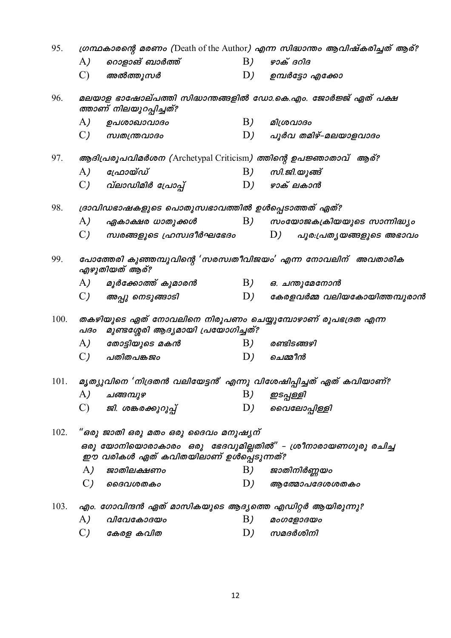| 95.  |                                                                                                        |            | ഗ്രന്ഥകാരന്റെ മരണം (Death of the Author) എന്ന സിദ്ധാന്തം ആവിഷ്കരിച്ചത് ആര്? |
|------|--------------------------------------------------------------------------------------------------------|------------|-----------------------------------------------------------------------------|
|      | റൊളാങ് ബാർത്ത്<br>A)                                                                                   | B)         | ഴാക് ദറിദ                                                                   |
|      | $\mathcal{C}$<br>അൽത്തൂസർ                                                                              | D)         | ഉമ്പർട്ടോ എക്കോ                                                             |
| 96.  | മലയാള ഭാഷോല്പത്തി സിദ്ധാന്തങ്ങളിൽ ഡോ.കെ.എം. ജോർജ്ജ് ഏത് പക്ഷ<br>ത്താണ് നിലയുറപ്പിച്ചത്?                |            |                                                                             |
|      | A)<br>ഉപശാഖാവാദം                                                                                       | B)         | മിശ്രവാദം                                                                   |
|      | $\mathcal{C}$ )<br>സ്വതന്ത്രവാദം                                                                       | D)         | പൂർവ തമിഴ്-മലയാളവാദം                                                        |
| 97.  | ആദിപ്രരൂപവിമർശന (Archetypal Criticism) ത്തിന്റെ ഉപജ്ഞാതാവ് ആര്?                                        |            |                                                                             |
|      | A)<br>പ്രോയ്ഡ്                                                                                         | B)         | സി.ജി.യുങ്ങ്                                                                |
|      | $\mathcal{C}$ )<br>വ്ലാഡിമിർ പ്രോപ്പ്                                                                  | D)         | ഴാക് ലകാൻ                                                                   |
| 98.  | ദ്രാവിഡഭാഷകളുടെ പൊതുസ്വഭാവത്തിൽ ഉൾപ്പെടാത്തത് ഏത്?                                                     |            |                                                                             |
|      | A)<br>ഏകാക്ഷര ധാതുക്കൾ                                                                                 | B)         | സംയോജകക്രിയയുടെ സാന്നിദ്ധ്യം                                                |
|      | $\mathcal{C}$ )<br>സ്വരങ്ങളുടെ ഹ്രസ്വദീർഘഭേദം                                                          |            | D)<br>പുര:പ്രത്യയങ്ങളുടെ അഭാവം                                              |
| 99.  | എഴുതിയത് ആര്?                                                                                          |            | പോത്തേരി കുഞ്ഞമ്പുവിന്റെ 'സരസ്വതീവിജയം' എന്ന നോവലിന്  അവതാരിക               |
|      | A)<br>മൂർക്കോത്ത് കുമാരൻ                                                                               | B)         | ഒ. ചന്തുമേനോൻ                                                               |
|      | C)<br>അപ്പു നെടുങ്ങാടി                                                                                 | D)         | കേരളവർമ്മ വലിയകോയിത്തമ്പുരാൻ                                                |
| 100. | തകഴിയുടെ ഏത് നോവലിനെ നിരൂപണം ചെയ്യുമ്പോഴാണ് രൂപഭദ്രത എന്ന<br>മുണ്ടശ്ശേരി ആദ്യമായി പ്രയോഗിച്ചത്?<br>പദം |            |                                                                             |
|      | A)<br>തോട്ടിയുടെ മകൻ                                                                                   | <b>B</b> ) | രണ്ടിടങ്ങഴി                                                                 |
|      | $\mathcal{C}$<br>പതിതപങ്കജം                                                                            | D)         | ചെമ്മീൻ                                                                     |
| 101. | മൃത്യുവിനെ 'നിദ്രതൻ വലിയേട്ടൻ' എന്നു വിശേഷിപ്പിച്ചത് ഏത് കവിയാണ്?                                      |            |                                                                             |
|      | A)<br>ചങ്ങമ്പുഴ                                                                                        | B)         | ഇടപ്പള്ളി                                                                   |
|      | $\mathcal{C}$<br>ജി. ശങ്കരക്കുറുപ്പ്                                                                   | D)         | വൈലോപ്പിള്ളി                                                                |
| 102. | "ഒരു ജാതി ഒരു മതം ഒരു ദൈവം മനുഷൃന്                                                                     |            |                                                                             |
|      | ഒരു യോനിയൊരാകാരം ഒരു ഭേദവുമില്ലതിൽ" – ശ്രീനാരായണഗുരു രചിച്ച<br>ഈ വരികൾ ഏത് കവിതയിലാണ് ഉൾപ്പെടുന്നത്?   |            |                                                                             |
|      | A)<br>ജാതിലക്ഷണം                                                                                       | B)         | ജാതിനിർണ്ണയം                                                                |
|      | $\mathcal{C}$<br>ൈദവശതകം                                                                               | D)         | ആത്മോപദേശശതകം                                                               |
| 103. | എം. ഗോവിന്ദൻ ഏത് മാസികയുടെ ആദ്യത്തെ എഡിറ്റർ ആയിരുന്നു?                                                 |            |                                                                             |
|      | A)<br>വിവേകോദയം                                                                                        | B)         | മംഗളോദയം                                                                    |
|      | $\mathcal{C}$ )<br>കേരള കവിത                                                                           | D)         | സമദർശിനി                                                                    |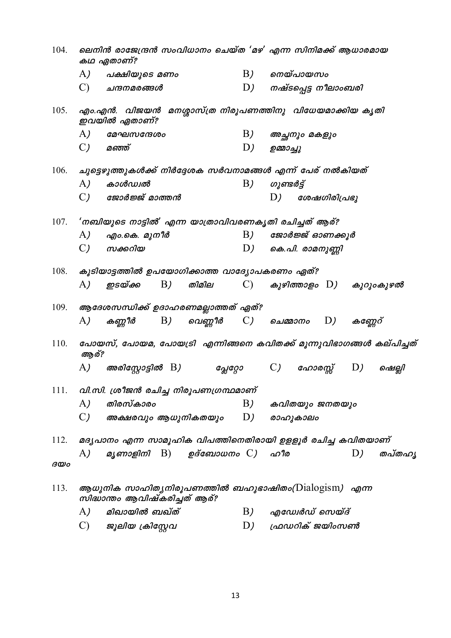| 104.        | ലെനിൻ രാജേന്ദ്രൻ സംവിധാനം ചെയ്ത 'മഴ' എന്ന സിനിമക്ക് ആധാരമായ<br>കഥ ഏതാണ്? |                                                                                              |    |                                   |              |            |                        |              |    |                                  |
|-------------|--------------------------------------------------------------------------|----------------------------------------------------------------------------------------------|----|-----------------------------------|--------------|------------|------------------------|--------------|----|----------------------------------|
|             | A)                                                                       | പക്ഷിയുടെ മണം                                                                                |    |                                   | B)           |            | ഩെയ്പായസം              |              |    |                                  |
|             | $\mathcal{C}$                                                            | ചന്ദനമരങ്ങൾ                                                                                  |    |                                   | D)           |            | നഷ്ടപ്പെട്ട നീലാംബരി   |              |    |                                  |
| 105.        |                                                                          | എം.എൻ. വിജയൻ മനശ്ശാസ്ത്ര നിരൂപണത്തിനു വിധേയമാക്കിയ കൃതി<br>ഇവയിൽ ഏതാണ്?                      |    |                                   |              |            |                        |              |    |                                  |
|             | A)                                                                       | മേഘസന്ദേശം                                                                                   |    |                                   | B)           |            | അച്ഛനും മകളും          |              |    |                                  |
|             | $\mathcal{C}$ )                                                          | മഞ്ഞ്                                                                                        |    |                                   | D)           | ഉമ്മാച്ചു  |                        |              |    |                                  |
| 106.        |                                                                          | ചുട്ടെഴുത്തുകൾക്ക് നിർദ്ദേശക സർവനാമങ്ങൾ എന്ന് പേര് നൽകിയത്                                   |    |                                   | $\mathbf{B}$ |            |                        |              |    |                                  |
|             | A)                                                                       | കാൾഡ്വൽ                                                                                      |    |                                   |              | ഗുണ്ടർട്ട് |                        |              |    |                                  |
|             | $\mathcal{C}$ )                                                          | ജോർജ്ജ് മാത്തൻ                                                                               |    |                                   |              | D)         |                        | ശേഷഗിരിപ്രഭു |    |                                  |
| 107.        | 'നബിയുടെ നാട്ടിൽ' എന്ന യാത്രാവിവരണകൃതി രചിച്ചത് ആര്?                     |                                                                                              |    |                                   |              |            |                        |              |    |                                  |
|             | A)                                                                       | എം.കെ. മുനീർ                                                                                 |    |                                   | B)           |            | ജോർജ്ജ് ഓണക്കൂർ        |              |    |                                  |
|             | $\mathcal{C}$ )                                                          | സക്കറിയ                                                                                      |    |                                   |              |            | $D$ ) കെ.പി. രാമനുണ്ണി |              |    |                                  |
| 108.        |                                                                          | കൂടിയാട്ടത്തിൽ ഉപയോഗിക്കാത്ത വാദ്യോപകരണം ഏത്?                                                |    |                                   |              |            |                        |              |    |                                  |
|             | A)                                                                       | ഇടയ്ക്ക                                                                                      | B) | തിമില                             |              |            |                        |              |    | $(C)$ കുഴിത്താളം $D$ ) കുറുംകുഴൽ |
| 109.        |                                                                          | ആദേശസന്ധിക്ക് ഉദാഹരണമല്ലാത്തത് ഏത്?                                                          |    |                                   |              |            |                        |              |    |                                  |
|             | A)                                                                       | കണ്ണീർ                                                                                       |    | B) വെണ്ണീർ C) ചെമ്മാനം D) കണ്ണേറ് |              |            |                        |              |    |                                  |
| 110.        | ആര്?                                                                     | പോയസ്, പോയമ, പോയട്രി എന്നിങ്ങനെ കവിതക്ക് മൂന്നുവിഭാഗങ്ങൾ കല്പിച്ചത്                          |    |                                   |              |            |                        |              |    |                                  |
|             | A)                                                                       | അരിസ്റ്റോട്ടിൽ $\rm\,B)$                                                                     |    |                                   | ဧဂ္ဂ၊ဧဂ္ဂ၁   |            | $C$ ) ദഹാരസ്സ്         |              | D) | ഷെല്ലി                           |
| 111.        |                                                                          | വി.സി. ശ്രീജൻ രചിച്ച നിരൂപണഗ്രന്ഥമാണ്                                                        |    |                                   |              |            |                        |              |    |                                  |
|             | A)                                                                       | തിരസ്കാരം                                                                                    |    |                                   | B)           |            | കവിതയും ജനതയും         |              |    |                                  |
|             | $\mathcal{C}$ )                                                          | അക്ഷരവും ആധുനികതയും                                                                          |    |                                   | D)           |            | രാഹുകാലം               |              |    |                                  |
| 112.        |                                                                          | മദൃപാനം എന്ന സാമൂഹിക വിപത്തിനെതിരായി ഉളളൂർ രചിച്ച കവിതയാണ്                                   |    |                                   |              |            |                        |              |    |                                  |
|             | A)                                                                       | മൃ <i>ണാളിനി</i> B)                                                                          |    | ഉദ്ബോധനം C <i>) ഹീ</i> ര          |              |            |                        |              | D) | തപ്തഹൃ                           |
| <b>B</b> OO |                                                                          |                                                                                              |    |                                   |              |            |                        |              |    |                                  |
| 113.        |                                                                          | ആധുനിക സാഹിതൃനിരൂപണത്തിൽ ബഹുഭാഷിതം( $\rm{Dialogism}$ ) എന്ന<br>സിദ്ധാന്തം ആവിഷ്കരിച്ചത് ആര്? |    |                                   |              |            |                        |              |    |                                  |
|             | A)                                                                       | മിഖായിൽ ബഖ്ത്                                                                                |    |                                   | B)           |            | എഡേർഡ് സെയ്ദ്          |              |    |                                  |
|             | $\mathcal{C}$                                                            | ജൂലിയ ക്രിസ്റ്റേവ                                                                            |    |                                   | D)           |            | ഫ്രഡറിക് ജയിംസൺ        |              |    |                                  |